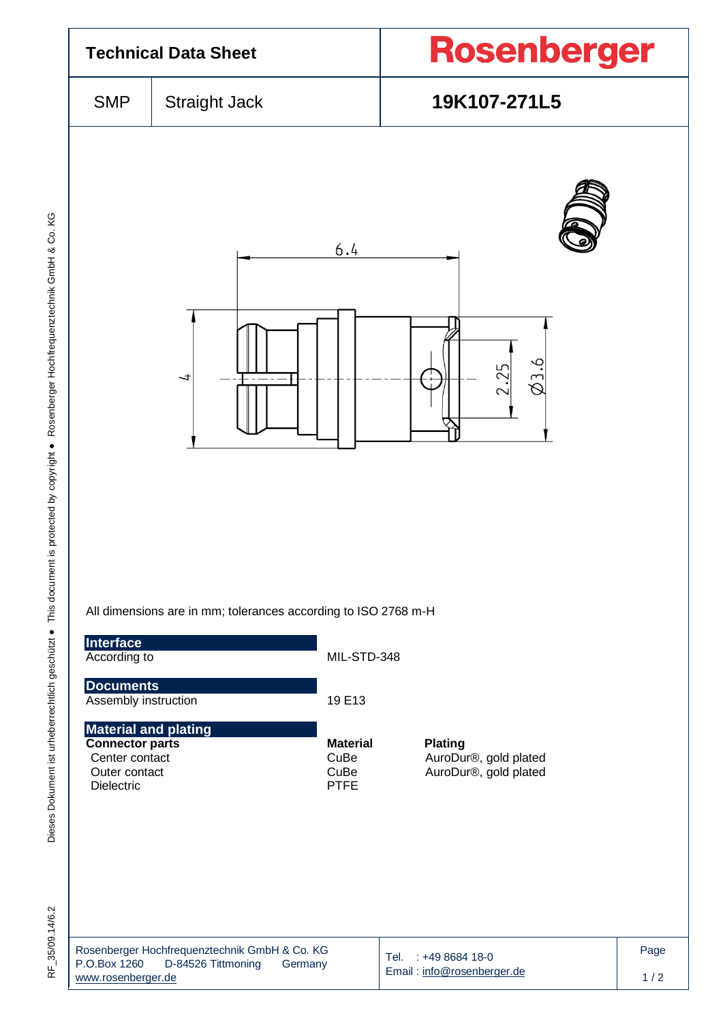